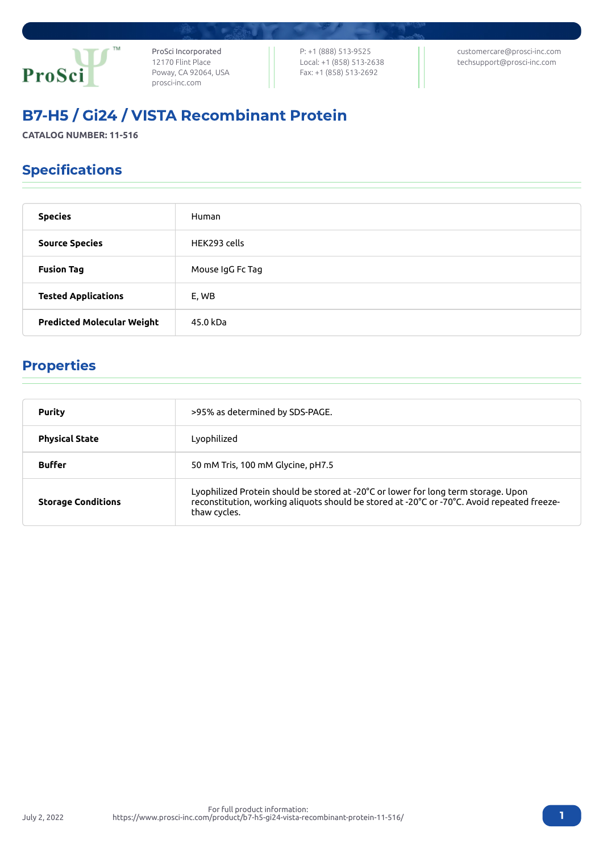

ProSci Incorporated 12170 Flint Place Poway, CA 92064, USA [prosci-inc.com](https://prosci-inc.com/)

P: +1 (888) 513-9525 Local: +1 (858) 513-2638 Fax: +1 (858) 513-2692

[customercare@prosci-inc.com](mailto:customercare@prosci-inc.com) [techsupport@prosci-inc.com](mailto:techsupport@prosci-inc.com)

# B7-H5 / Gi24 / VISTA Recombinant Protein

**CATALOG NUMBER: 11-516**

## Specifications

| <b>Species</b>                    | Human            |
|-----------------------------------|------------------|
| <b>Source Species</b>             | HEK293 cells     |
| <b>Fusion Tag</b>                 | Mouse IgG Fc Tag |
| <b>Tested Applications</b>        | E, WB            |
| <b>Predicted Molecular Weight</b> | 45.0 kDa         |

### Properties

| <b>Purity</b>             | >95% as determined by SDS-PAGE.                                                                                                                                                                   |
|---------------------------|---------------------------------------------------------------------------------------------------------------------------------------------------------------------------------------------------|
| <b>Physical State</b>     | Lyophilized                                                                                                                                                                                       |
| <b>Buffer</b>             | 50 mM Tris, 100 mM Glycine, pH7.5                                                                                                                                                                 |
| <b>Storage Conditions</b> | Lyophilized Protein should be stored at -20°C or lower for long term storage. Upon<br>reconstitution, working aliquots should be stored at -20°C or -70°C. Avoid repeated freeze-<br>thaw cycles. |